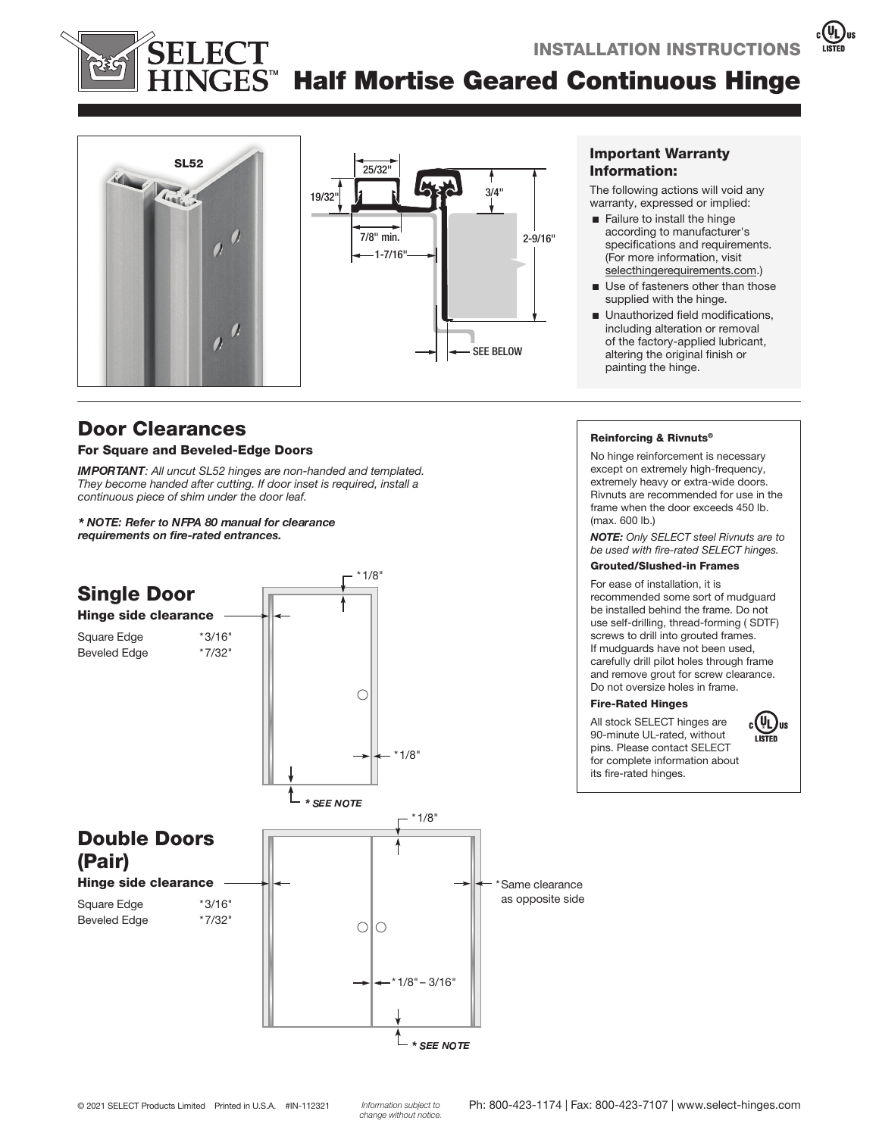# S<sup>™</sup> Half Mortise Geared Continuous Hinge



# Door Clearances

#### For Square and Beveled-Edge Doors

**IMPORTANT:** All uncut SL52 hinges are non-handed and templated. They become handed after cutting. If door inset is required, install a continuous piece of shim under the door leaf.

 *requirements on fire-rated entrances.* 



#### Important Warranty Information:

The following actions will void any warranty, expressed or implied:

- $\blacksquare$  Failure to install the hinge according to manufacturer's specifications and requirements. (For more information, visit selecthingerequirements.com.)
- $\blacksquare$  Use of fasteners other than those supplied with the hinge.
- $\blacksquare$  Unauthorized field modifications, including alteration or removal of the factory-applied lubricant, altering the original finish or painting the hinge.

#### Reinforcing & Rivnuts®

No hinge reinforcement is necessary except on extremely high-frequency, extremely heavy or extra-wide doors. Rivnuts are recommended for use in the frame when the door exceeds 450 lb. (max. 600 lb.)

NOTE: Only SELECT steel Rivnuts are to be used with fire-rated SELECT hinges.

## Grouted/Slushed-in Frames

For ease of installation, it is recommended some sort of mudguard be installed behind the frame. Do not use self-drilling, thread-forming ( SDTF) screws to drill into grouted frames. If mudguards have not been used, carefully drill pilot holes through frame and remove grout for screw clearance. Do not oversize holes in frame.

#### Fire-Rated Hinges

All stock SELECT hinges are 90-minute UL-rated, without pins. Please contact SELECT for complete information about



its fire-rated hinges.